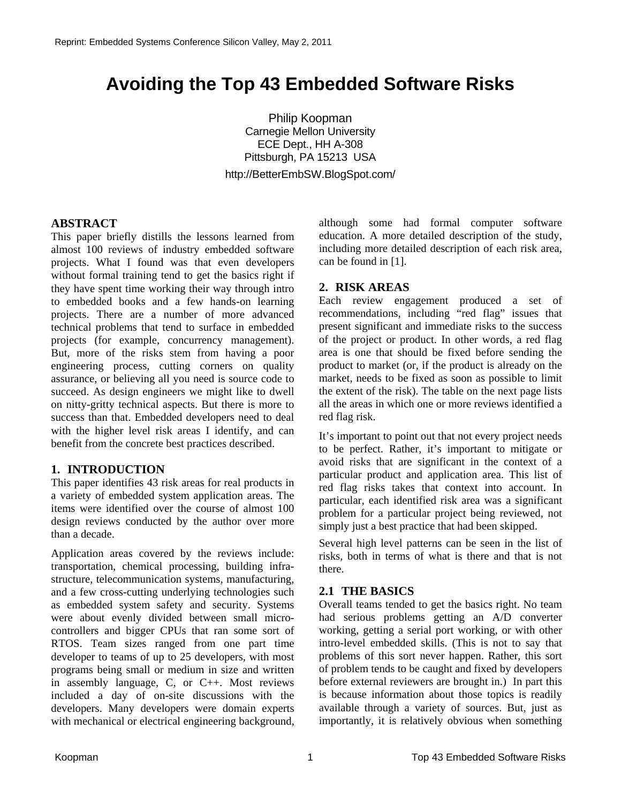# **Avoiding the Top 43 Embedded Software Risks**

Philip Koopman Carnegie Mellon University ECE Dept., HH A-308 Pittsburgh, PA 15213 USA http://BetterEmbSW.BlogSpot.com/

## **ABSTRACT**

This paper briefly distills the lessons learned from almost 100 reviews of industry embedded software projects. What I found was that even developers without formal training tend to get the basics right if they have spent time working their way through intro to embedded books and a few hands-on learning projects. There are a number of more advanced technical problems that tend to surface in embedded projects (for example, concurrency management). But, more of the risks stem from having a poor engineering process, cutting corners on quality assurance, or believing all you need is source code to succeed. As design engineers we might like to dwell on nitty-gritty technical aspects. But there is more to success than that. Embedded developers need to deal with the higher level risk areas I identify, and can benefit from the concrete best practices described.

# **1. INTRODUCTION**

This paper identifies 43 risk areas for real products in a variety of embedded system application areas. The items were identified over the course of almost 100 design reviews conducted by the author over more than a decade.

Application areas covered by the reviews include: transportation, chemical processing, building infrastructure, telecommunication systems, manufacturing, and a few cross-cutting underlying technologies such as embedded system safety and security. Systems were about evenly divided between small microcontrollers and bigger CPUs that ran some sort of RTOS. Team sizes ranged from one part time developer to teams of up to 25 developers, with most programs being small or medium in size and written in assembly language, C, or C++. Most reviews included a day of on-site discussions with the developers. Many developers were domain experts with mechanical or electrical engineering background,

although some had formal computer software education. A more detailed description of the study, including more detailed description of each risk area, can be found in [1].

# **2. RISK AREAS**

Each review engagement produced a set of recommendations, including "red flag" issues that present significant and immediate risks to the success of the project or product. In other words, a red flag area is one that should be fixed before sending the product to market (or, if the product is already on the market, needs to be fixed as soon as possible to limit the extent of the risk). The table on the next page lists all the areas in which one or more reviews identified a red flag risk.

It's important to point out that not every project needs to be perfect. Rather, it's important to mitigate or avoid risks that are significant in the context of a particular product and application area. This list of red flag risks takes that context into account. In particular, each identified risk area was a significant problem for a particular project being reviewed, not simply just a best practice that had been skipped.

Several high level patterns can be seen in the list of risks, both in terms of what is there and that is not there.

## **2.1 THE BASICS**

Overall teams tended to get the basics right. No team had serious problems getting an A/D converter working, getting a serial port working, or with other intro-level embedded skills. (This is not to say that problems of this sort never happen. Rather, this sort of problem tends to be caught and fixed by developers before external reviewers are brought in.) In part this is because information about those topics is readily available through a variety of sources. But, just as importantly, it is relatively obvious when something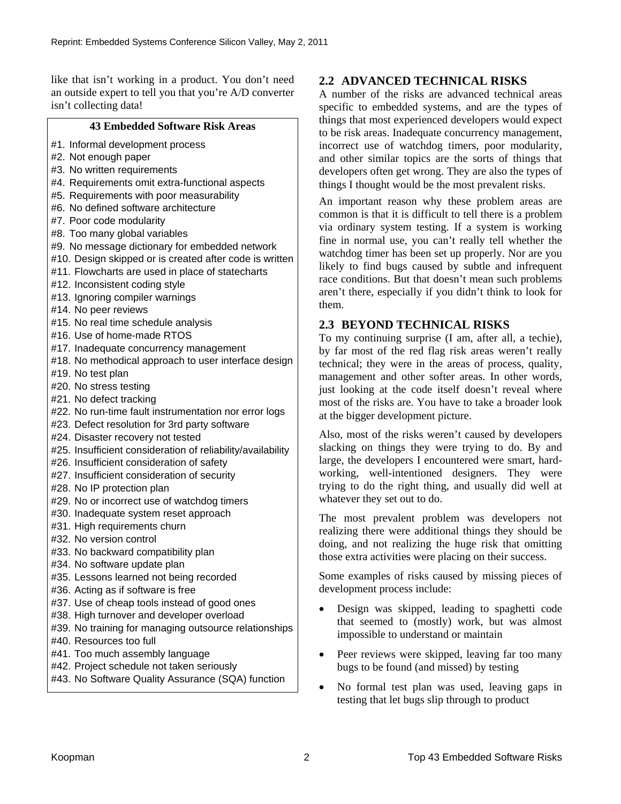like that isn't working in a product. You don't need an outside expert to tell you that you're A/D converter isn't collecting data!

#### **43 Embedded Software Risk Areas**

- #1. Informal development process
- #2. Not enough paper
- #3. No written requirements
- #4. Requirements omit extra-functional aspects
- #5. Requirements with poor measurability
- #6. No defined software architecture
- #7. Poor code modularity
- #8. Too many global variables
- #9. No message dictionary for embedded network
- #10. Design skipped or is created after code is written
- #11. Flowcharts are used in place of statecharts
- #12. Inconsistent coding style
- #13. Ignoring compiler warnings
- #14. No peer reviews
- #15. No real time schedule analysis
- #16. Use of home-made RTOS
- #17. Inadequate concurrency management
- #18. No methodical approach to user interface design
- #19. No test plan
- #20. No stress testing
- #21. No defect tracking
- #22. No run-time fault instrumentation nor error logs
- #23. Defect resolution for 3rd party software
- #24. Disaster recovery not tested
- #25. Insufficient consideration of reliability/availability
- #26. Insufficient consideration of safety
- #27. Insufficient consideration of security
- #28. No IP protection plan
- #29. No or incorrect use of watchdog timers
- #30. Inadequate system reset approach
- #31. High requirements churn
- #32. No version control
- #33. No backward compatibility plan
- #34. No software update plan
- #35. Lessons learned not being recorded
- #36. Acting as if software is free
- #37. Use of cheap tools instead of good ones
- #38. High turnover and developer overload
- #39. No training for managing outsource relationships
- #40. Resources too full
- #41. Too much assembly language
- #42. Project schedule not taken seriously
- #43. No Software Quality Assurance (SQA) function

# **2.2 ADVANCED TECHNICAL RISKS**

A number of the risks are advanced technical areas specific to embedded systems, and are the types of things that most experienced developers would expect to be risk areas. Inadequate concurrency management, incorrect use of watchdog timers, poor modularity, and other similar topics are the sorts of things that developers often get wrong. They are also the types of things I thought would be the most prevalent risks.

An important reason why these problem areas are common is that it is difficult to tell there is a problem via ordinary system testing. If a system is working fine in normal use, you can't really tell whether the watchdog timer has been set up properly. Nor are you likely to find bugs caused by subtle and infrequent race conditions. But that doesn't mean such problems aren't there, especially if you didn't think to look for them.

## **2.3 BEYOND TECHNICAL RISKS**

To my continuing surprise (I am, after all, a techie), by far most of the red flag risk areas weren't really technical; they were in the areas of process, quality, management and other softer areas. In other words, just looking at the code itself doesn't reveal where most of the risks are. You have to take a broader look at the bigger development picture.

Also, most of the risks weren't caused by developers slacking on things they were trying to do. By and large, the developers I encountered were smart, hardworking, well-intentioned designers. They were trying to do the right thing, and usually did well at whatever they set out to do.

The most prevalent problem was developers not realizing there were additional things they should be doing, and not realizing the huge risk that omitting those extra activities were placing on their success.

Some examples of risks caused by missing pieces of development process include:

- Design was skipped, leading to spaghetti code that seemed to (mostly) work, but was almost impossible to understand or maintain
- Peer reviews were skipped, leaving far too many bugs to be found (and missed) by testing
- No formal test plan was used, leaving gaps in testing that let bugs slip through to product